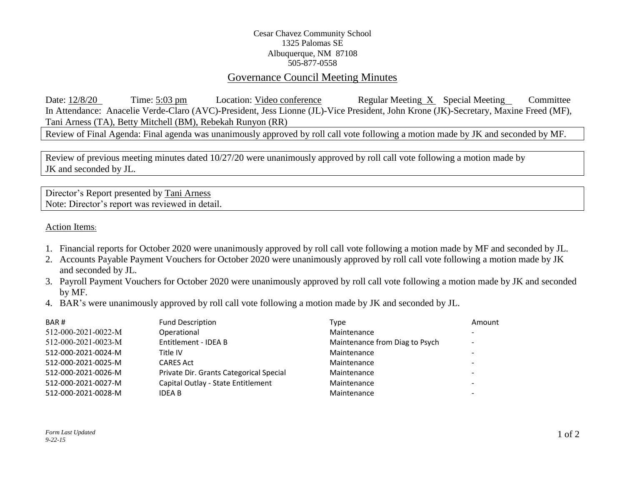## Cesar Chavez Community School 1325 Palomas SE Albuquerque, NM 87108 505-877-0558

## Governance Council Meeting Minutes

Date: 12/8/20 Time: 5:03 pm Location: Video conference Regular Meeting X Special Meeting Committee In Attendance: Anacelie Verde-Claro (AVC)-President, Jess Lionne (JL)-Vice President, John Krone (JK)-Secretary, Maxine Freed (MF), Tani Arness (TA), Betty Mitchell (BM), Rebekah Runyon (RR)

Review of Final Agenda: Final agenda was unanimously approved by roll call vote following a motion made by JK and seconded by MF.

Review of previous meeting minutes dated 10/27/20 were unanimously approved by roll call vote following a motion made by JK and seconded by JL.

Director's Report presented by Tani Arness Note: Director's report was reviewed in detail.

Action Items:

- 1. Financial reports for October 2020 were unanimously approved by roll call vote following a motion made by MF and seconded by JL.
- 2. Accounts Payable Payment Vouchers for October 2020 were unanimously approved by roll call vote following a motion made by JK and seconded by JL.
- 3. Payroll Payment Vouchers for October 2020 were unanimously approved by roll call vote following a motion made by JK and seconded by MF.
- 4. BAR's were unanimously approved by roll call vote following a motion made by JK and seconded by JL.

| BAR#                | <b>Fund Description</b>                 | Type                           | Amount                       |
|---------------------|-----------------------------------------|--------------------------------|------------------------------|
| 512-000-2021-0022-M | Operational                             | Maintenance                    | $\overline{\phantom{0}}$     |
| 512-000-2021-0023-M | Entitlement - IDEA B                    | Maintenance from Diag to Psych | $\overline{\phantom{0}}$     |
| 512-000-2021-0024-M | Title IV                                | Maintenance                    | $\qquad \qquad \blacksquare$ |
| 512-000-2021-0025-M | <b>CARES Act</b>                        | Maintenance                    | $\overline{\phantom{0}}$     |
| 512-000-2021-0026-M | Private Dir. Grants Categorical Special | Maintenance                    | -                            |
| 512-000-2021-0027-M | Capital Outlay - State Entitlement      | Maintenance                    | $\overline{\phantom{0}}$     |
| 512-000-2021-0028-M | IDEA B                                  | Maintenance                    | $\overline{\phantom{0}}$     |